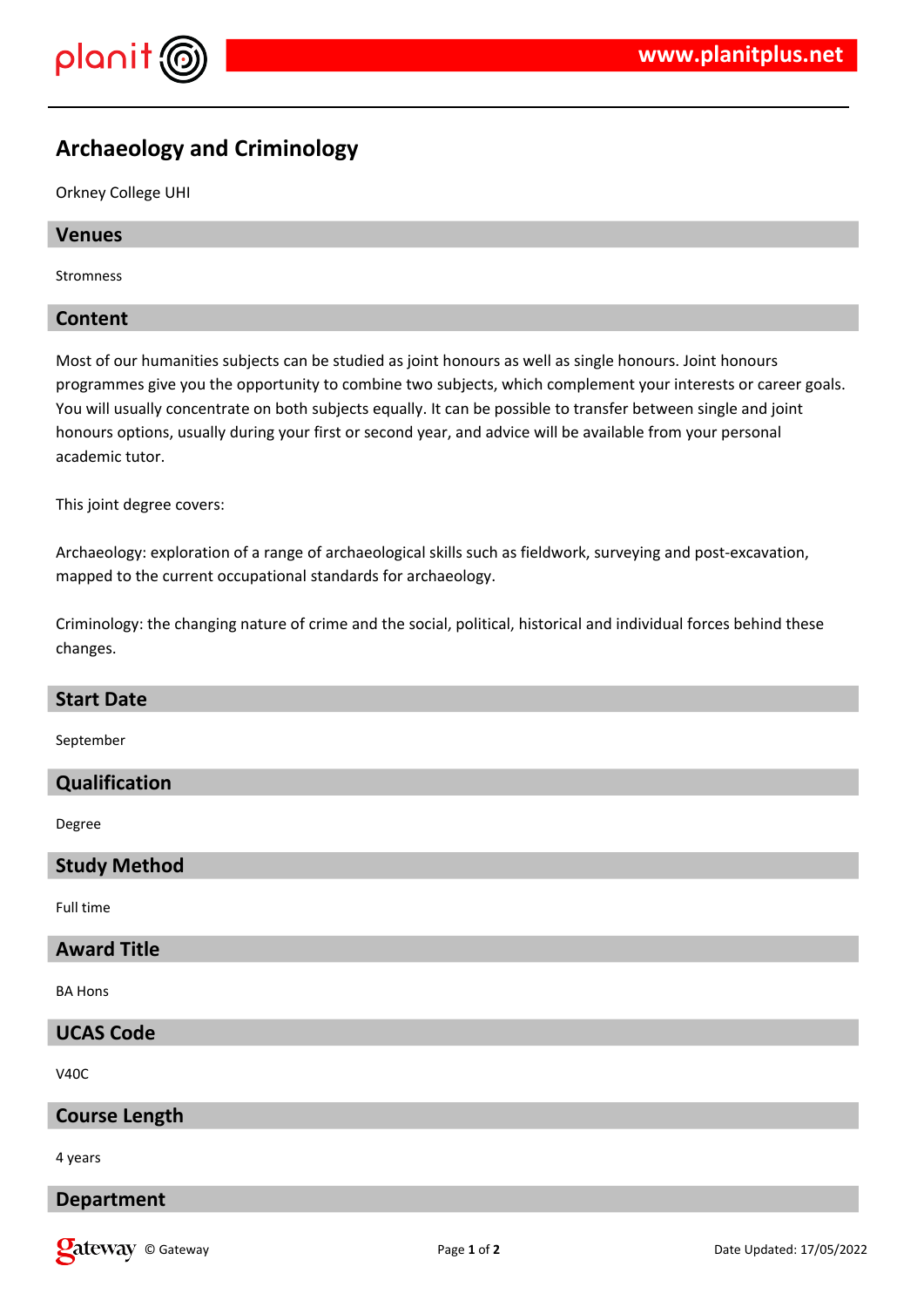

# **Archaeology and Criminology**

### Orkney College UHI

### **Venues**

Stromness

# **Content**

Most of our humanities subjects can be studied as joint honours as well as single honours. Joint honours programmes give you the opportunity to combine two subjects, which complement your interests or career goals. You will usually concentrate on both subjects equally. It can be possible to transfer between single and joint honours options, usually during your first or second year, and advice will be available from your personal academic tutor.

This joint degree covers:

Archaeology: exploration of a range of archaeological skills such as fieldwork, surveying and post-excavation, mapped to the current occupational standards for archaeology.

Criminology: the changing nature of crime and the social, political, historical and individual forces behind these changes.

| <b>Start Date</b>    |
|----------------------|
| September            |
| Qualification        |
| Degree               |
| <b>Study Method</b>  |
| Full time            |
| <b>Award Title</b>   |
| <b>BA Hons</b>       |
| <b>UCAS Code</b>     |
| V <sub>40</sub> C    |
| <b>Course Length</b> |
| 4 years              |
| <b>Department</b>    |